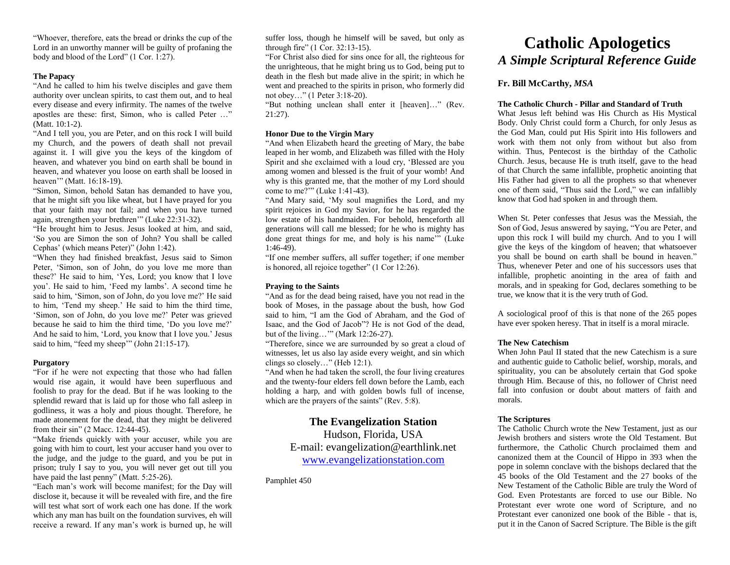"Whoever, therefore, eats the bread or drinks the cup of the Lord in an unworthy manner will be guilty of profaning the body and blood of the Lord" (1 Cor. 1:27).

### **The Papacy**

"And he called to him his twelve disciples and gave them authority over unclean spirits, to cast them out, and to heal every disease and every infirmity. The names of the twelve apostles are these: first, Simon, who is called Peter …" (Matt. 10:1-2).

"And I tell you, you are Peter, and on this rock I will build my Church, and the powers of death shall not prevail against it. I will give you the keys of the kingdom of heaven, and whatever you bind on earth shall be bound in heaven, and whatever you loose on earth shall be loosed in heaven'" (Matt. 16:18-19).

"Simon, Simon, behold Satan has demanded to have you, that he might sift you like wheat, but I have prayed for you that your faith may not fail; and when you have turned again, strengthen your brethren'" (Luke 22:31-32).

"He brought him to Jesus. Jesus looked at him, and said, 'So you are Simon the son of John? You shall be called Cephas' (which means Peter)" (John 1:42).

"When they had finished breakfast, Jesus said to Simon Peter, 'Simon, son of John, do you love me more than these?' He said to him, 'Yes, Lord; you know that I love you'. He said to him, 'Feed my lambs'. A second time he said to him, 'Simon, son of John, do you love me?' He said to him, 'Tend my sheep.' He said to him the third time, 'Simon, son of John, do you love me?' Peter was grieved because he said to him the third time, 'Do you love me?' And he said to him, 'Lord, you know that I love you.' Jesus said to him, "feed my sheep" (John 21:15-17).

#### **Purgatory**

"For if he were not expecting that those who had fallen would rise again, it would have been superfluous and foolish to pray for the dead. But if he was looking to the splendid reward that is laid up for those who fall asleep in godliness, it was a holy and pious thought. Therefore, he made atonement for the dead, that they might be delivered from their sin" (2 Macc. 12:44-45).

"Make friends quickly with your accuser, while you are going with him to court, lest your accuser hand you over to the judge, and the judge to the guard, and you be put in prison; truly I say to you, you will never get out till you have paid the last penny" (Matt. 5:25-26).

"Each man's work will become manifest; for the Day will disclose it, because it will be revealed with fire, and the fire will test what sort of work each one has done. If the work which any man has built on the foundation survives, eh will receive a reward. If any man's work is burned up, he will suffer loss, though he himself will be saved, but only as through fire" (1 Cor. 32:13-15).

"For Christ also died for sins once for all, the righteous for the unrighteous, that he might bring us to God, being put to death in the flesh but made alive in the spirit; in which he went and preached to the spirits in prison, who formerly did not obey…" (1 Peter 3:18-20).

"But nothing unclean shall enter it [heaven]…" (Rev. 21:27).

# **Honor Due to the Virgin Mary**

"And when Elizabeth heard the greeting of Mary, the babe leaped in her womb, and Elizabeth was filled with the Holy Spirit and she exclaimed with a loud cry, 'Blessed are you among women and blessed is the fruit of your womb! And why is this granted me, that the mother of my Lord should come to me?'" (Luke 1:41-43).

"And Mary said, 'My soul magnifies the Lord, and my spirit rejoices in God my Savior, for he has regarded the low estate of his handmaiden. For behold, henceforth all generations will call me blessed; for he who is mighty has done great things for me, and holy is his name'" (Luke 1:46-49).

"If one member suffers, all suffer together; if one member is honored, all rejoice together" (1 Cor 12:26).

## **Praying to the Saints**

"And as for the dead being raised, have you not read in the book of Moses, in the passage about the bush, how God said to him, "I am the God of Abraham, and the God of Isaac, and the God of Jacob"? He is not God of the dead, but of the living…'" (Mark 12:26-27).

"Therefore, since we are surrounded by so great a cloud of witnesses, let us also lay aside every weight, and sin which clings so closely…" (Heb 12:1).

"And when he had taken the scroll, the four living creatures and the twenty-four elders fell down before the Lamb, each holding a harp, and with golden bowls full of incense, which are the prayers of the saints" (Rev. 5:8).

# **The Evangelization Station**

Hudson, Florida, USA E-mail: evangelization@earthlink.net [www.evangelizationstation.com](http://www.pjpiisoe.org/)

Pamphlet 450

# **Catholic Apologetics** *A Simple Scriptural Reference Guide*

# **Fr. Bill McCarthy,** *MSA*

### **The Catholic Church - Pillar and Standard of Truth**

What Jesus left behind was His Church as His Mystical Body. Only Christ could form a Church, for only Jesus as the God Man, could put His Spirit into His followers and work with them not only from without but also from within. Thus, Pentecost is the birthday of the Catholic Church. Jesus, because He is truth itself, gave to the head of that Church the same infallible, prophetic anointing that His Father had given to all the prophets so that whenever one of them said, "Thus said the Lord," we can infallibly know that God had spoken in and through them.

When St. Peter confesses that Jesus was the Messiah, the Son of God, Jesus answered by saying, "You are Peter, and upon this rock I will build my church. And to you I will give the keys of the kingdom of heaven; that whatsoever you shall be bound on earth shall be bound in heaven." Thus, whenever Peter and one of his successors uses that infallible, prophetic anointing in the area of faith and morals, and in speaking for God, declares something to be true, we know that it is the very truth of God.

A sociological proof of this is that none of the 265 popes have ever spoken heresy. That in itself is a moral miracle.

#### **The New Catechism**

When John Paul II stated that the new Catechism is a sure and authentic guide to Catholic belief, worship, morals, and spirituality, you can be absolutely certain that God spoke through Him. Because of this, no follower of Christ need fall into confusion or doubt about matters of faith and morals.

# **The Scriptures**

The Catholic Church wrote the New Testament, just as our Jewish brothers and sisters wrote the Old Testament. But furthermore, the Catholic Church proclaimed them and canonized them at the Council of Hippo in 393 when the pope in solemn conclave with the bishops declared that the 45 books of the Old Testament and the 27 books of the New Testament of the Catholic Bible are truly the Word of God. Even Protestants are forced to use our Bible. No Protestant ever wrote one word of Scripture, and no Protestant ever canonized one book of the Bible - that is, put it in the Canon of Sacred Scripture. The Bible is the gift